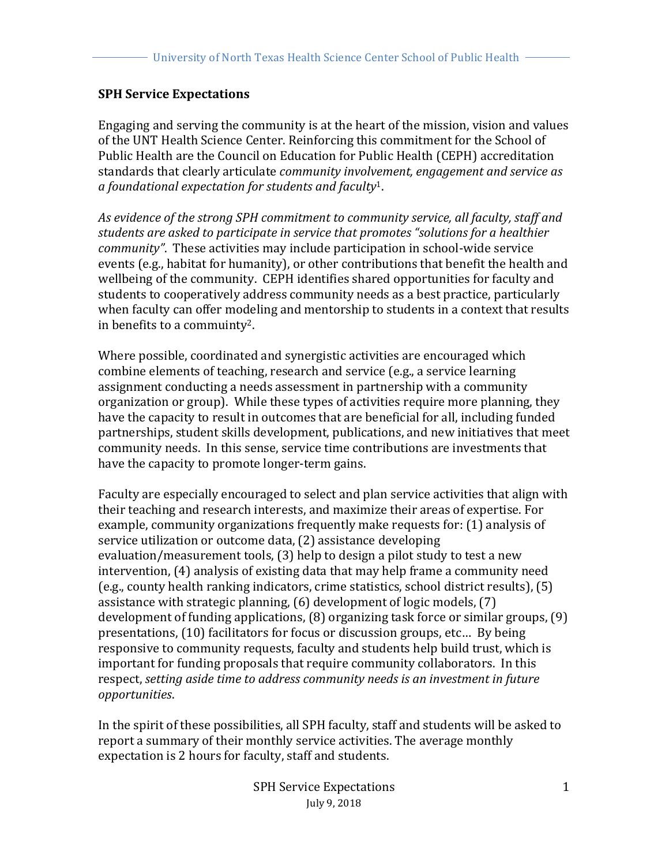## **SPH Service Expectations**

Engaging and serving the community is at the heart of the mission, vision and values of the UNT Health Science Center. Reinforcing this commitment for the School of Public Health are the Council on Education for Public Health (CEPH) accreditation standards that clearly articulate *community involvement, engagement and service as a foundational expectation for students and faculty*1. 

*As evidence of the strong SPH commitment to community service, all faculty, staff and*  students are asked to participate in service that promotes "solutions for a healthier *community".* These activities may include participation in school-wide service events (e.g., habitat for humanity), or other contributions that benefit the health and wellbeing of the community. CEPH identifies shared opportunities for faculty and students to cooperatively address community needs as a best practice, particularly when faculty can offer modeling and mentorship to students in a context that results in benefits to a commuinty<sup>2</sup>.

Where possible, coordinated and synergistic activities are encouraged which combine elements of teaching, research and service (e.g., a service learning assignment conducting a needs assessment in partnership with a community organization or group). While these types of activities require more planning, they have the capacity to result in outcomes that are beneficial for all, including funded partnerships, student skills development, publications, and new initiatives that meet community needs. In this sense, service time contributions are investments that have the capacity to promote longer-term gains.

Faculty are especially encouraged to select and plan service activities that align with their teaching and research interests, and maximize their areas of expertise. For example, community organizations frequently make requests for: (1) analysis of service utilization or outcome data, (2) assistance developing evaluation/measurement tools,  $(3)$  help to design a pilot study to test a new intervention, (4) analysis of existing data that may help frame a community need  $(e.g., county health ranking indicators, crime statistics, school district results),  $(5)$$ assistance with strategic planning,  $(6)$  development of logic models,  $(7)$ development of funding applications,  $(8)$  organizing task force or similar groups,  $(9)$ presentations, (10) facilitators for focus or discussion groups, etc... By being responsive to community requests, faculty and students help build trust, which is important for funding proposals that require community collaborators. In this respect, setting aside time to address community needs is an investment in future *opportunities*. 

In the spirit of these possibilities, all SPH faculty, staff and students will be asked to report a summary of their monthly service activities. The average monthly expectation is 2 hours for faculty, staff and students.